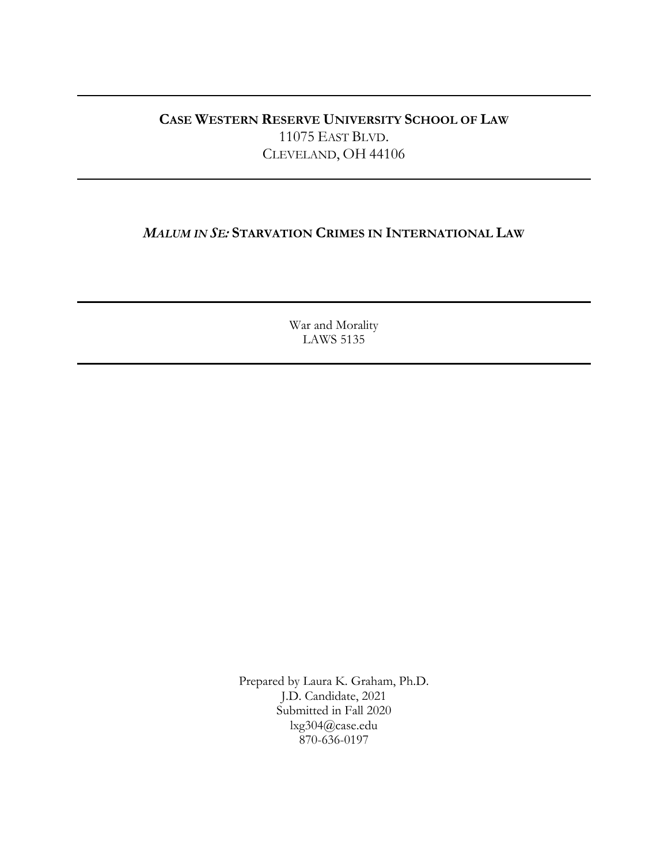# **CASE WESTERN RESERVE UNIVERSITY SCHOOL OF LAW** 11075 EAST BLVD. CLEVELAND, OH 44106

## *MALUM IN SE:* **STARVATION CRIMES IN INTERNATIONAL LAW**

War and Morality LAWS 5135

Prepared by Laura K. Graham, Ph.D. J.D. Candidate, 2021 Submitted in Fall 2020 lxg304@case.edu 870-636-0197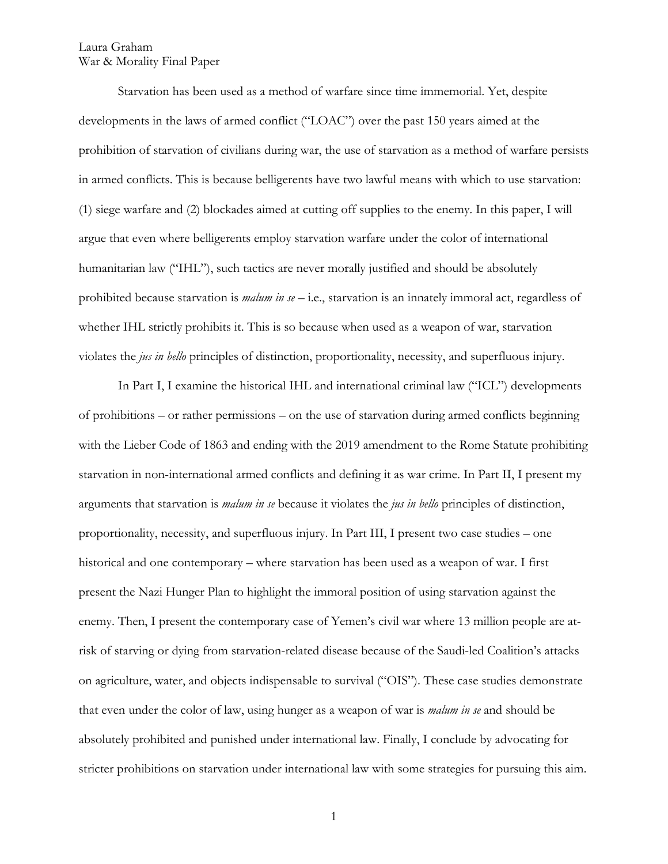Starvation has been used as a method of warfare since time immemorial. Yet, despite developments in the laws of armed conflict ("LOAC") over the past 150 years aimed at the prohibition of starvation of civilians during war, the use of starvation as a method of warfare persists in armed conflicts. This is because belligerents have two lawful means with which to use starvation: (1) siege warfare and (2) blockades aimed at cutting off supplies to the enemy. In this paper, I will argue that even where belligerents employ starvation warfare under the color of international humanitarian law ("IHL"), such tactics are never morally justified and should be absolutely prohibited because starvation is *malum in se* – i.e., starvation is an innately immoral act, regardless of whether IHL strictly prohibits it. This is so because when used as a weapon of war, starvation violates the *jus in bello* principles of distinction, proportionality, necessity, and superfluous injury.

In Part I, I examine the historical IHL and international criminal law ("ICL") developments of prohibitions – or rather permissions – on the use of starvation during armed conflicts beginning with the Lieber Code of 1863 and ending with the 2019 amendment to the Rome Statute prohibiting starvation in non-international armed conflicts and defining it as war crime. In Part II, I present my arguments that starvation is *malum in se* because it violates the *jus in bello* principles of distinction, proportionality, necessity, and superfluous injury. In Part III, I present two case studies – one historical and one contemporary – where starvation has been used as a weapon of war. I first present the Nazi Hunger Plan to highlight the immoral position of using starvation against the enemy. Then, I present the contemporary case of Yemen's civil war where 13 million people are atrisk of starving or dying from starvation-related disease because of the Saudi-led Coalition's attacks on agriculture, water, and objects indispensable to survival ("OIS"). These case studies demonstrate that even under the color of law, using hunger as a weapon of war is *malum in se* and should be absolutely prohibited and punished under international law. Finally, I conclude by advocating for stricter prohibitions on starvation under international law with some strategies for pursuing this aim.

1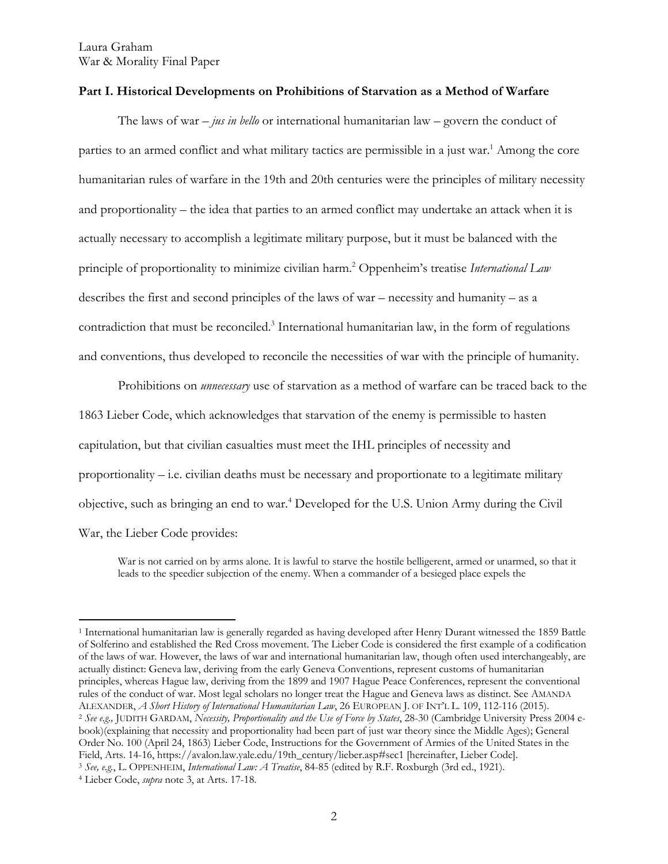#### **Part I. Historical Developments on Prohibitions of Starvation as a Method of Warfare**

The laws of war – *jus in bello* or international humanitarian law – govern the conduct of parties to an armed conflict and what military tactics are permissible in a just war.<sup>1</sup> Among the core humanitarian rules of warfare in the 19th and 20th centuries were the principles of military necessity and proportionality – the idea that parties to an armed conflict may undertake an attack when it is actually necessary to accomplish a legitimate military purpose, but it must be balanced with the principle of proportionality to minimize civilian harm.2 Oppenheim's treatise *International Law* describes the first and second principles of the laws of war – necessity and humanity – as a contradiction that must be reconciled.<sup>3</sup> International humanitarian law, in the form of regulations and conventions, thus developed to reconcile the necessities of war with the principle of humanity.

Prohibitions on *unnecessary* use of starvation as a method of warfare can be traced back to the 1863 Lieber Code, which acknowledges that starvation of the enemy is permissible to hasten capitulation, but that civilian casualties must meet the IHL principles of necessity and proportionality – i.e. civilian deaths must be necessary and proportionate to a legitimate military objective, such as bringing an end to war.4 Developed for the U.S. Union Army during the Civil War, the Lieber Code provides:

War is not carried on by arms alone. It is lawful to starve the hostile belligerent, armed or unarmed, so that it leads to the speedier subjection of the enemy. When a commander of a besieged place expels the

<sup>1</sup> International humanitarian law is generally regarded as having developed after Henry Durant witnessed the 1859 Battle of Solferino and established the Red Cross movement. The Lieber Code is considered the first example of a codification of the laws of war. However, the laws of war and international humanitarian law, though often used interchangeably, are actually distinct: Geneva law, deriving from the early Geneva Conventions, represent customs of humanitarian principles, whereas Hague law, deriving from the 1899 and 1907 Hague Peace Conferences, represent the conventional rules of the conduct of war. Most legal scholars no longer treat the Hague and Geneva laws as distinct. See AMANDA ALEXANDER, *A Short History of International Humanitarian Law*, 26 EUROPEAN J. OF INT'L L. 109, 112-116 (2015). <sup>2</sup> *See e.g.,* JUDITH GARDAM, *Necessity, Proportionality and the Use of Force by States*, 28-30 (Cambridge University Press 2004 ebook)(explaining that necessity and proportionality had been part of just war theory since the Middle Ages); General Order No. 100 (April 24, 1863) Lieber Code, Instructions for the Government of Armies of the United States in the Field, Arts. 14-16, https://avalon.law.yale.edu/19th\_century/lieber.asp#sec1 [hereinafter, Lieber Code]. <sup>3</sup> *See, e.g.*, L. OPPENHEIM, *International Law: A Treatise*, 84-85 (edited by R.F. Roxburgh (3rd ed., 1921).

<sup>4</sup> Lieber Code, *supra* note 3, at Arts. 17-18.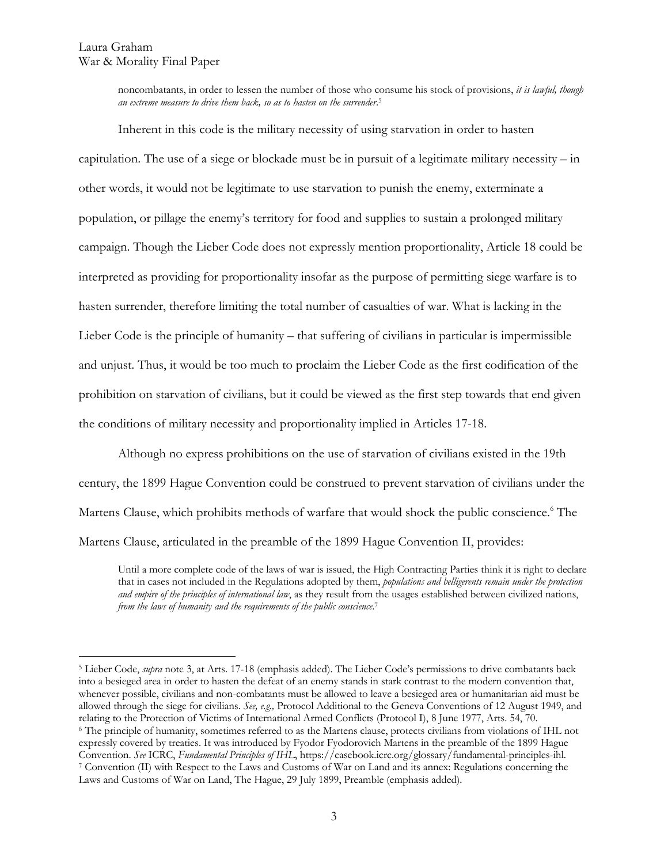noncombatants, in order to lessen the number of those who consume his stock of provisions, *it is lawful, though an extreme measure to drive them back, so as to hasten on the surrender*. 5

Inherent in this code is the military necessity of using starvation in order to hasten capitulation. The use of a siege or blockade must be in pursuit of a legitimate military necessity – in other words, it would not be legitimate to use starvation to punish the enemy, exterminate a population, or pillage the enemy's territory for food and supplies to sustain a prolonged military campaign. Though the Lieber Code does not expressly mention proportionality, Article 18 could be interpreted as providing for proportionality insofar as the purpose of permitting siege warfare is to hasten surrender, therefore limiting the total number of casualties of war. What is lacking in the Lieber Code is the principle of humanity – that suffering of civilians in particular is impermissible and unjust. Thus, it would be too much to proclaim the Lieber Code as the first codification of the prohibition on starvation of civilians, but it could be viewed as the first step towards that end given the conditions of military necessity and proportionality implied in Articles 17-18.

Although no express prohibitions on the use of starvation of civilians existed in the 19th century, the 1899 Hague Convention could be construed to prevent starvation of civilians under the Martens Clause, which prohibits methods of warfare that would shock the public conscience.<sup>6</sup> The Martens Clause, articulated in the preamble of the 1899 Hague Convention II, provides:

Until a more complete code of the laws of war is issued, the High Contracting Parties think it is right to declare that in cases not included in the Regulations adopted by them, *populations and belligerents remain under the protection and empire of the principles of international law*, as they result from the usages established between civilized nations, *from the laws of humanity and the requirements of the public conscience*. 7

<sup>5</sup> Lieber Code, *supra* note 3, at Arts. 17-18 (emphasis added). The Lieber Code's permissions to drive combatants back into a besieged area in order to hasten the defeat of an enemy stands in stark contrast to the modern convention that, whenever possible, civilians and non-combatants must be allowed to leave a besieged area or humanitarian aid must be allowed through the siege for civilians. *See, e.g.,* Protocol Additional to the Geneva Conventions of 12 August 1949, and relating to the Protection of Victims of International Armed Conflicts (Protocol I), 8 June 1977, Arts. 54, 70. <sup>6</sup> The principle of humanity, sometimes referred to as the Martens clause, protects civilians from violations of IHL not expressly covered by treaties. It was introduced by Fyodor Fyodorovich Martens in the preamble of the 1899 Hague Convention. *See* ICRC, *Fundamental Principles of IHL*, https://casebook.icrc.org/glossary/fundamental-principles-ihl. <sup>7</sup> Convention (II) with Respect to the Laws and Customs of War on Land and its annex: Regulations concerning the Laws and Customs of War on Land, The Hague, 29 July 1899, Preamble (emphasis added).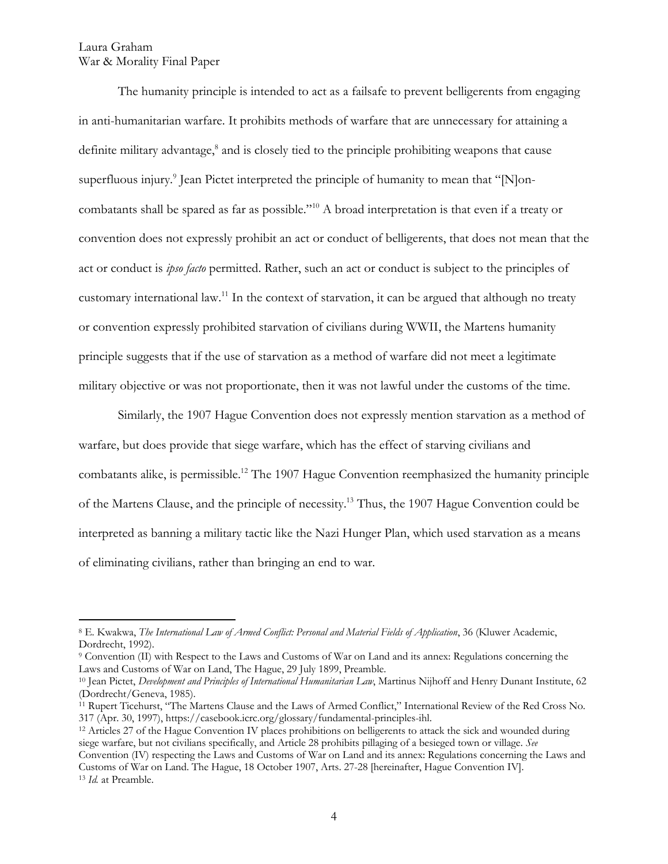The humanity principle is intended to act as a failsafe to prevent belligerents from engaging in anti-humanitarian warfare. It prohibits methods of warfare that are unnecessary for attaining a definite military advantage, $\delta$  and is closely tied to the principle prohibiting weapons that cause superfluous injury.<sup>9</sup> Jean Pictet interpreted the principle of humanity to mean that "[N]oncombatants shall be spared as far as possible."10 A broad interpretation is that even if a treaty or convention does not expressly prohibit an act or conduct of belligerents, that does not mean that the act or conduct is *ipso facto* permitted. Rather, such an act or conduct is subject to the principles of customary international law.11 In the context of starvation, it can be argued that although no treaty or convention expressly prohibited starvation of civilians during WWII, the Martens humanity principle suggests that if the use of starvation as a method of warfare did not meet a legitimate military objective or was not proportionate, then it was not lawful under the customs of the time.

Similarly, the 1907 Hague Convention does not expressly mention starvation as a method of warfare, but does provide that siege warfare, which has the effect of starving civilians and combatants alike, is permissible.<sup>12</sup> The 1907 Hague Convention reemphasized the humanity principle of the Martens Clause, and the principle of necessity.13 Thus, the 1907 Hague Convention could be interpreted as banning a military tactic like the Nazi Hunger Plan, which used starvation as a means of eliminating civilians, rather than bringing an end to war.

<sup>9</sup> Convention (II) with Respect to the Laws and Customs of War on Land and its annex: Regulations concerning the Laws and Customs of War on Land, The Hague, 29 July 1899, Preamble.

<sup>8</sup> E. Kwakwa, *The International Law of Armed Conflict: Personal and Material Fields of Application*, 36 (Kluwer Academic, Dordrecht, 1992).

<sup>10</sup> Jean Pictet, *Development and Principles of International Humanitarian Law*, Martinus Nijhoff and Henry Dunant Institute, 62 (Dordrecht/Geneva, 1985).

<sup>11</sup> Rupert Ticehurst, "The Martens Clause and the Laws of Armed Conflict," International Review of the Red Cross No. 317 (Apr. 30, 1997), https://casebook.icrc.org/glossary/fundamental-principles-ihl.

<sup>12</sup> Articles 27 of the Hague Convention IV places prohibitions on belligerents to attack the sick and wounded during siege warfare, but not civilians specifically, and Article 28 prohibits pillaging of a besieged town or village. *See*  Convention (IV) respecting the Laws and Customs of War on Land and its annex: Regulations concerning the Laws and Customs of War on Land. The Hague, 18 October 1907, Arts. 27-28 [hereinafter, Hague Convention IV]. <sup>13</sup> *Id.* at Preamble.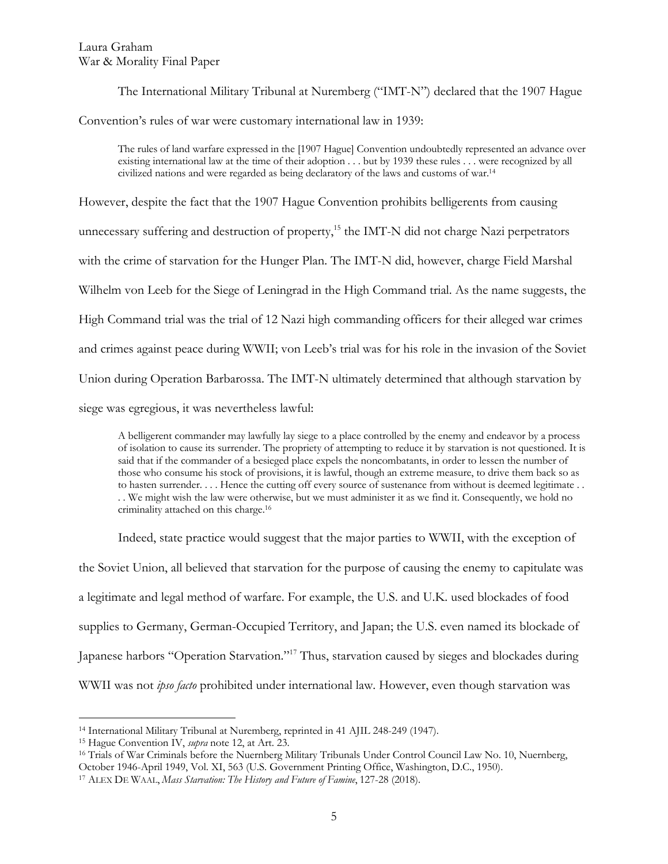The International Military Tribunal at Nuremberg ("IMT-N") declared that the 1907 Hague Convention's rules of war were customary international law in 1939:

The rules of land warfare expressed in the [1907 Hague] Convention undoubtedly represented an advance over existing international law at the time of their adoption . . . but by 1939 these rules . . . were recognized by all civilized nations and were regarded as being declaratory of the laws and customs of war.14

However, despite the fact that the 1907 Hague Convention prohibits belligerents from causing unnecessary suffering and destruction of property,<sup>15</sup> the IMT-N did not charge Nazi perpetrators with the crime of starvation for the Hunger Plan. The IMT-N did, however, charge Field Marshal Wilhelm von Leeb for the Siege of Leningrad in the High Command trial. As the name suggests, the High Command trial was the trial of 12 Nazi high commanding officers for their alleged war crimes and crimes against peace during WWII; von Leeb's trial was for his role in the invasion of the Soviet Union during Operation Barbarossa. The IMT-N ultimately determined that although starvation by siege was egregious, it was nevertheless lawful:

A belligerent commander may lawfully lay siege to a place controlled by the enemy and endeavor by a process of isolation to cause its surrender. The propriety of attempting to reduce it by starvation is not questioned. It is said that if the commander of a besieged place expels the noncombatants, in order to lessen the number of those who consume his stock of provisions, it is lawful, though an extreme measure, to drive them back so as to hasten surrender. . . . Hence the cutting off every source of sustenance from without is deemed legitimate . . . . We might wish the law were otherwise, but we must administer it as we find it. Consequently, we hold no criminality attached on this charge.16

Indeed, state practice would suggest that the major parties to WWII, with the exception of the Soviet Union, all believed that starvation for the purpose of causing the enemy to capitulate was a legitimate and legal method of warfare. For example, the U.S. and U.K. used blockades of food supplies to Germany, German-Occupied Territory, and Japan; the U.S. even named its blockade of Japanese harbors "Operation Starvation."17 Thus, starvation caused by sieges and blockades during WWII was not *ipso facto* prohibited under international law. However, even though starvation was

<sup>14</sup> International Military Tribunal at Nuremberg, reprinted in 41 AJIL 248-249 (1947).

<sup>15</sup> Hague Convention IV, *supra* note 12, at Art. 23.

<sup>16</sup> Trials of War Criminals before the Nuernberg Military Tribunals Under Control Council Law No. 10, Nuernberg, October 1946-April 1949, Vol. XI, 563 (U.S. Government Printing Office, Washington, D.C., 1950).

<sup>17</sup> ALEX DE WAAL, *Mass Starvation: The History and Future of Famine*, 127-28 (2018).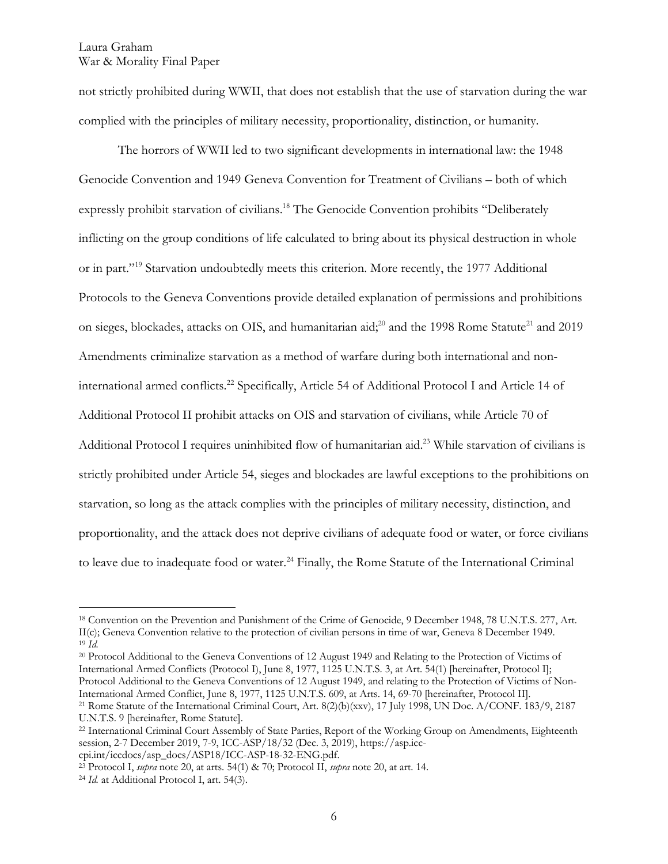not strictly prohibited during WWII, that does not establish that the use of starvation during the war complied with the principles of military necessity, proportionality, distinction, or humanity.

The horrors of WWII led to two significant developments in international law: the 1948 Genocide Convention and 1949 Geneva Convention for Treatment of Civilians – both of which expressly prohibit starvation of civilians.<sup>18</sup> The Genocide Convention prohibits "Deliberately inflicting on the group conditions of life calculated to bring about its physical destruction in whole or in part."19 Starvation undoubtedly meets this criterion. More recently, the 1977 Additional Protocols to the Geneva Conventions provide detailed explanation of permissions and prohibitions on sieges, blockades, attacks on OIS, and humanitarian aid;<sup>20</sup> and the 1998 Rome Statute<sup>21</sup> and 2019 Amendments criminalize starvation as a method of warfare during both international and noninternational armed conflicts.<sup>22</sup> Specifically, Article 54 of Additional Protocol I and Article 14 of Additional Protocol II prohibit attacks on OIS and starvation of civilians, while Article 70 of Additional Protocol I requires uninhibited flow of humanitarian aid.<sup>23</sup> While starvation of civilians is strictly prohibited under Article 54, sieges and blockades are lawful exceptions to the prohibitions on starvation, so long as the attack complies with the principles of military necessity, distinction, and proportionality, and the attack does not deprive civilians of adequate food or water, or force civilians to leave due to inadequate food or water.<sup>24</sup> Finally, the Rome Statute of the International Criminal

<sup>20</sup> Protocol Additional to the Geneva Conventions of 12 August 1949 and Relating to the Protection of Victims of International Armed Conflicts (Protocol I), June 8, 1977, 1125 U.N.T.S. 3, at Art. 54(1) [hereinafter, Protocol I]; Protocol Additional to the Geneva Conventions of 12 August 1949, and relating to the Protection of Victims of Non-International Armed Conflict, June 8, 1977, 1125 U.N.T.S. 609, at Arts. 14, 69-70 [hereinafter, Protocol II].

<sup>18</sup> Convention on the Prevention and Punishment of the Crime of Genocide, 9 December 1948, 78 U.N.T.S. 277, Art. II(c); Geneva Convention relative to the protection of civilian persons in time of war, Geneva 8 December 1949. <sup>19</sup> *Id.*

<sup>21</sup> Rome Statute of the International Criminal Court, Art. 8(2)(b)(xxv), 17 July 1998, UN Doc. A/CONF. 183/9, 2187 U.N.T.S. 9 [hereinafter, Rome Statute].

<sup>22</sup> International Criminal Court Assembly of State Parties, Report of the Working Group on Amendments, Eighteenth session, 2-7 December 2019, 7-9, ICC-ASP/18/32 (Dec. 3, 2019), https://asp.icc-

cpi.int/iccdocs/asp\_docs/ASP18/ICC-ASP-18-32-ENG.pdf.

<sup>23</sup> Protocol I, *supra* note 20, at arts. 54(1) & 70; Protocol II, *supra* note 20, at art. 14.

<sup>24</sup> *Id.* at Additional Protocol I, art. 54(3).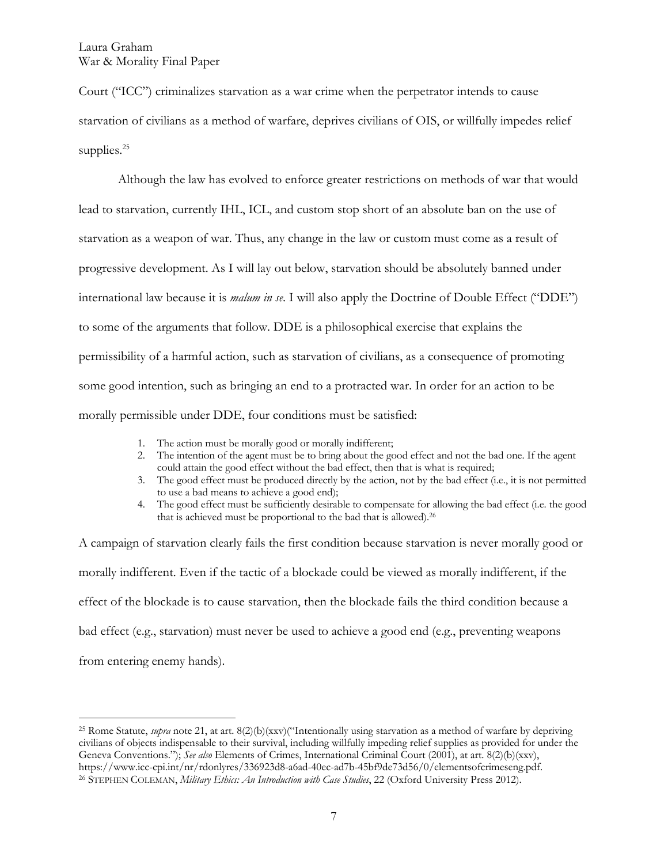Court ("ICC") criminalizes starvation as a war crime when the perpetrator intends to cause starvation of civilians as a method of warfare, deprives civilians of OIS, or willfully impedes relief supplies. $25$ 

Although the law has evolved to enforce greater restrictions on methods of war that would lead to starvation, currently IHL, ICL, and custom stop short of an absolute ban on the use of starvation as a weapon of war. Thus, any change in the law or custom must come as a result of progressive development. As I will lay out below, starvation should be absolutely banned under international law because it is *malum in se*. I will also apply the Doctrine of Double Effect ("DDE") to some of the arguments that follow. DDE is a philosophical exercise that explains the permissibility of a harmful action, such as starvation of civilians, as a consequence of promoting some good intention, such as bringing an end to a protracted war. In order for an action to be morally permissible under DDE, four conditions must be satisfied:

- 1. The action must be morally good or morally indifferent;
- 2. The intention of the agent must be to bring about the good effect and not the bad one. If the agent could attain the good effect without the bad effect, then that is what is required;
- 3. The good effect must be produced directly by the action, not by the bad effect (i.e., it is not permitted to use a bad means to achieve a good end);
- 4. The good effect must be sufficiently desirable to compensate for allowing the bad effect (i.e. the good that is achieved must be proportional to the bad that is allowed).<sup>26</sup>

A campaign of starvation clearly fails the first condition because starvation is never morally good or morally indifferent. Even if the tactic of a blockade could be viewed as morally indifferent, if the effect of the blockade is to cause starvation, then the blockade fails the third condition because a bad effect (e.g., starvation) must never be used to achieve a good end (e.g., preventing weapons from entering enemy hands).

<sup>25</sup> Rome Statute, *supra* note 21, at art. 8(2)(b)(xxv)("Intentionally using starvation as a method of warfare by depriving civilians of objects indispensable to their survival, including willfully impeding relief supplies as provided for under the Geneva Conventions."); See also Elements of Crimes, International Criminal Court (2001), at art. 8(2)(b)(xxv), https://www.icc-cpi.int/nr/rdonlyres/336923d8-a6ad-40ec-ad7b-45bf9de73d56/0/elementsofcrimeseng.pdf. <sup>26</sup> STEPHEN COLEMAN, *Military Ethics: An Introduction with Case Studies*, 22 (Oxford University Press 2012).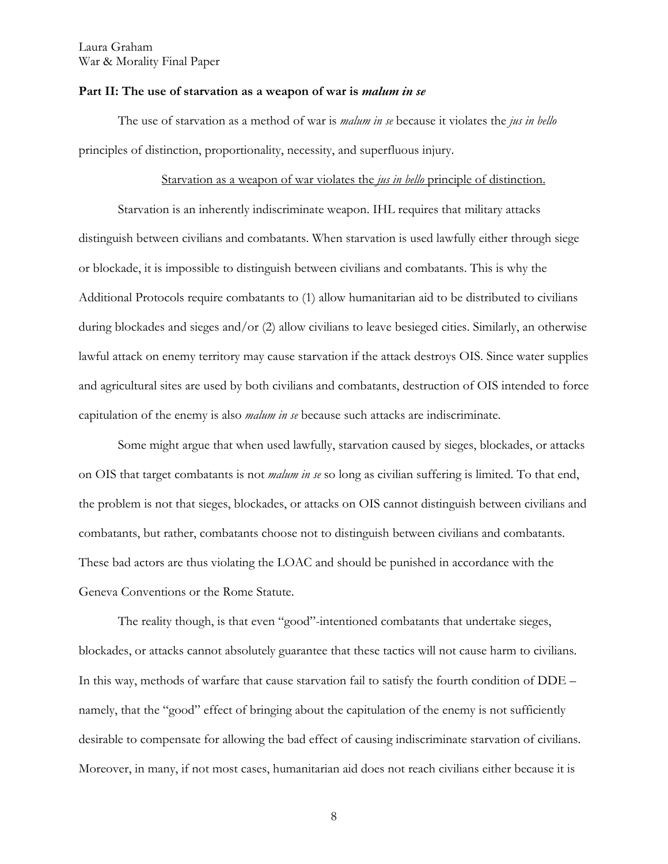#### Part II: The use of starvation as a weapon of war is *malum in se*

The use of starvation as a method of war is *malum in se* because it violates the *jus in bello*  principles of distinction, proportionality, necessity, and superfluous injury.

#### Starvation as a weapon of war violates the *jus in bello* principle of distinction.

Starvation is an inherently indiscriminate weapon. IHL requires that military attacks distinguish between civilians and combatants. When starvation is used lawfully either through siege or blockade, it is impossible to distinguish between civilians and combatants. This is why the Additional Protocols require combatants to (1) allow humanitarian aid to be distributed to civilians during blockades and sieges and/or (2) allow civilians to leave besieged cities. Similarly, an otherwise lawful attack on enemy territory may cause starvation if the attack destroys OIS. Since water supplies and agricultural sites are used by both civilians and combatants, destruction of OIS intended to force capitulation of the enemy is also *malum in se* because such attacks are indiscriminate.

Some might argue that when used lawfully, starvation caused by sieges, blockades, or attacks on OIS that target combatants is not *malum in se* so long as civilian suffering is limited. To that end, the problem is not that sieges, blockades, or attacks on OIS cannot distinguish between civilians and combatants, but rather, combatants choose not to distinguish between civilians and combatants. These bad actors are thus violating the LOAC and should be punished in accordance with the Geneva Conventions or the Rome Statute.

The reality though, is that even "good"-intentioned combatants that undertake sieges, blockades, or attacks cannot absolutely guarantee that these tactics will not cause harm to civilians. In this way, methods of warfare that cause starvation fail to satisfy the fourth condition of DDE – namely, that the "good" effect of bringing about the capitulation of the enemy is not sufficiently desirable to compensate for allowing the bad effect of causing indiscriminate starvation of civilians. Moreover, in many, if not most cases, humanitarian aid does not reach civilians either because it is

8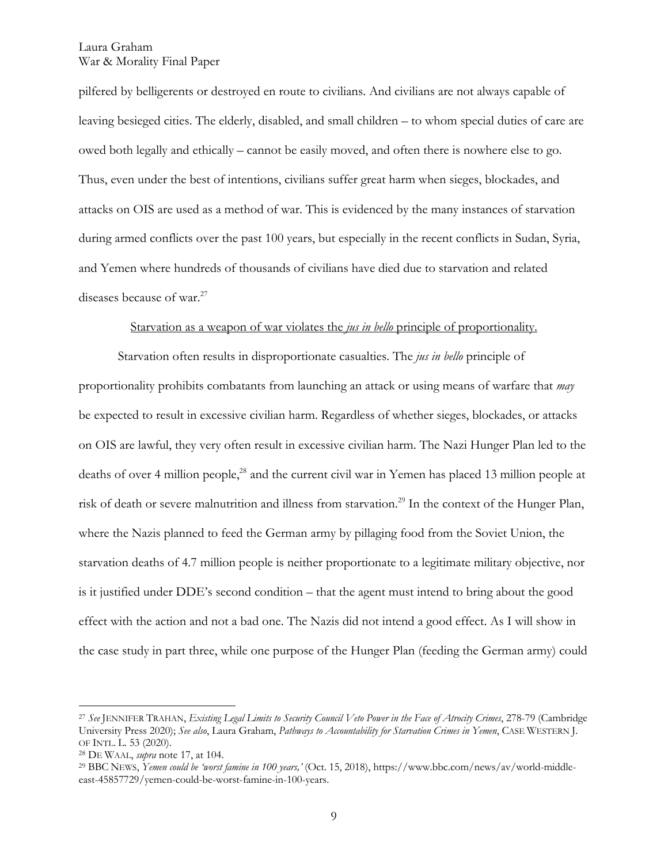pilfered by belligerents or destroyed en route to civilians. And civilians are not always capable of leaving besieged cities. The elderly, disabled, and small children – to whom special duties of care are owed both legally and ethically – cannot be easily moved, and often there is nowhere else to go. Thus, even under the best of intentions, civilians suffer great harm when sieges, blockades, and attacks on OIS are used as a method of war. This is evidenced by the many instances of starvation during armed conflicts over the past 100 years, but especially in the recent conflicts in Sudan, Syria, and Yemen where hundreds of thousands of civilians have died due to starvation and related diseases because of war.<sup>27</sup>

#### Starvation as a weapon of war violates the *jus in bello* principle of proportionality.

Starvation often results in disproportionate casualties. The *jus in bello* principle of proportionality prohibits combatants from launching an attack or using means of warfare that *may* be expected to result in excessive civilian harm. Regardless of whether sieges, blockades, or attacks on OIS are lawful, they very often result in excessive civilian harm. The Nazi Hunger Plan led to the deaths of over 4 million people,<sup>28</sup> and the current civil war in Yemen has placed 13 million people at risk of death or severe malnutrition and illness from starvation.<sup>29</sup> In the context of the Hunger Plan, where the Nazis planned to feed the German army by pillaging food from the Soviet Union, the starvation deaths of 4.7 million people is neither proportionate to a legitimate military objective, nor is it justified under DDE's second condition – that the agent must intend to bring about the good effect with the action and not a bad one. The Nazis did not intend a good effect. As I will show in the case study in part three, while one purpose of the Hunger Plan (feeding the German army) could

<sup>27</sup> *See* JENNIFER TRAHAN, *Existing Legal Limits to Security Council Veto Power in the Face of Atrocity Crimes*, 278-79 (Cambridge University Press 2020); *See also*, Laura Graham, *Pathways to Accountability for Starvation Crimes in Yemen*, CASE WESTERN J. OF INTL. L. 53 (2020).

<sup>28</sup> DE WAAL, *supra* note 17, at 104.

<sup>29</sup> BBC NEWS, *Yemen could be 'worst famine in 100 years,'* (Oct. 15, 2018), https://www.bbc.com/news/av/world-middleeast-45857729/yemen-could-be-worst-famine-in-100-years.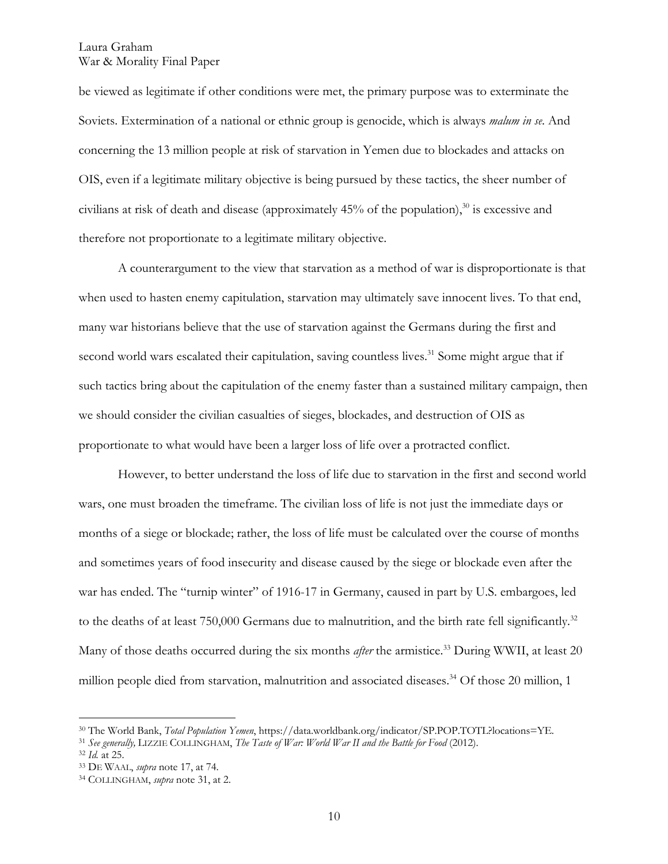be viewed as legitimate if other conditions were met, the primary purpose was to exterminate the Soviets. Extermination of a national or ethnic group is genocide, which is always *malum in se*. And concerning the 13 million people at risk of starvation in Yemen due to blockades and attacks on OIS, even if a legitimate military objective is being pursued by these tactics, the sheer number of civilians at risk of death and disease (approximately  $45\%$  of the population), $30$  is excessive and therefore not proportionate to a legitimate military objective.

A counterargument to the view that starvation as a method of war is disproportionate is that when used to hasten enemy capitulation, starvation may ultimately save innocent lives. To that end, many war historians believe that the use of starvation against the Germans during the first and second world wars escalated their capitulation, saving countless lives.<sup>31</sup> Some might argue that if such tactics bring about the capitulation of the enemy faster than a sustained military campaign, then we should consider the civilian casualties of sieges, blockades, and destruction of OIS as proportionate to what would have been a larger loss of life over a protracted conflict.

However, to better understand the loss of life due to starvation in the first and second world wars, one must broaden the timeframe. The civilian loss of life is not just the immediate days or months of a siege or blockade; rather, the loss of life must be calculated over the course of months and sometimes years of food insecurity and disease caused by the siege or blockade even after the war has ended. The "turnip winter" of 1916-17 in Germany, caused in part by U.S. embargoes, led to the deaths of at least 750,000 Germans due to malnutrition, and the birth rate fell significantly.<sup>32</sup> Many of those deaths occurred during the six months *after* the armistice.<sup>33</sup> During WWII, at least 20 million people died from starvation, malnutrition and associated diseases. <sup>34</sup> Of those 20 million, 1

<sup>30</sup> The World Bank, *Total Population Yemen*, https://data.worldbank.org/indicator/SP.POP.TOTL?locations=YE.

<sup>31</sup> *See generally,* LIZZIE COLLINGHAM, *The Taste of War: World War II and the Battle for Food* (2012).

<sup>32</sup> *Id.* at 25.

<sup>33</sup> DE WAAL, *supra* note 17, at 74.

<sup>34</sup> COLLINGHAM, *supra* note 31, at 2.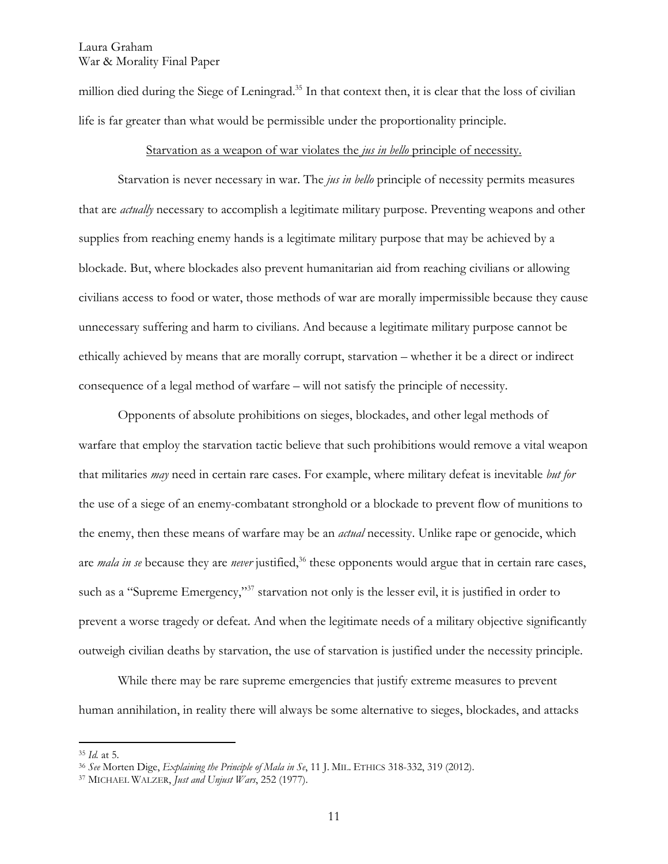million died during the Siege of Leningrad.<sup>35</sup> In that context then, it is clear that the loss of civilian life is far greater than what would be permissible under the proportionality principle.

#### Starvation as a weapon of war violates the *jus in bello* principle of necessity.

Starvation is never necessary in war. The *jus in bello* principle of necessity permits measures that are *actually* necessary to accomplish a legitimate military purpose. Preventing weapons and other supplies from reaching enemy hands is a legitimate military purpose that may be achieved by a blockade. But, where blockades also prevent humanitarian aid from reaching civilians or allowing civilians access to food or water, those methods of war are morally impermissible because they cause unnecessary suffering and harm to civilians. And because a legitimate military purpose cannot be ethically achieved by means that are morally corrupt, starvation – whether it be a direct or indirect consequence of a legal method of warfare – will not satisfy the principle of necessity.

Opponents of absolute prohibitions on sieges, blockades, and other legal methods of warfare that employ the starvation tactic believe that such prohibitions would remove a vital weapon that militaries *may* need in certain rare cases. For example, where military defeat is inevitable *but for* the use of a siege of an enemy-combatant stronghold or a blockade to prevent flow of munitions to the enemy, then these means of warfare may be an *actual* necessity. Unlike rape or genocide, which are *mala in se* because they are *never* justified,<sup>36</sup> these opponents would argue that in certain rare cases, such as a "Supreme Emergency,"<sup>37</sup> starvation not only is the lesser evil, it is justified in order to prevent a worse tragedy or defeat. And when the legitimate needs of a military objective significantly outweigh civilian deaths by starvation, the use of starvation is justified under the necessity principle.

While there may be rare supreme emergencies that justify extreme measures to prevent human annihilation, in reality there will always be some alternative to sieges, blockades, and attacks

<sup>35</sup> *Id.* at 5.

<sup>36</sup> *See* Morten Dige, *Explaining the Principle of Mala in Se*, 11 J. MIL. ETHICS 318-332, 319 (2012).

<sup>37</sup> MICHAEL WALZER, *Just and Unjust Wars*, 252 (1977).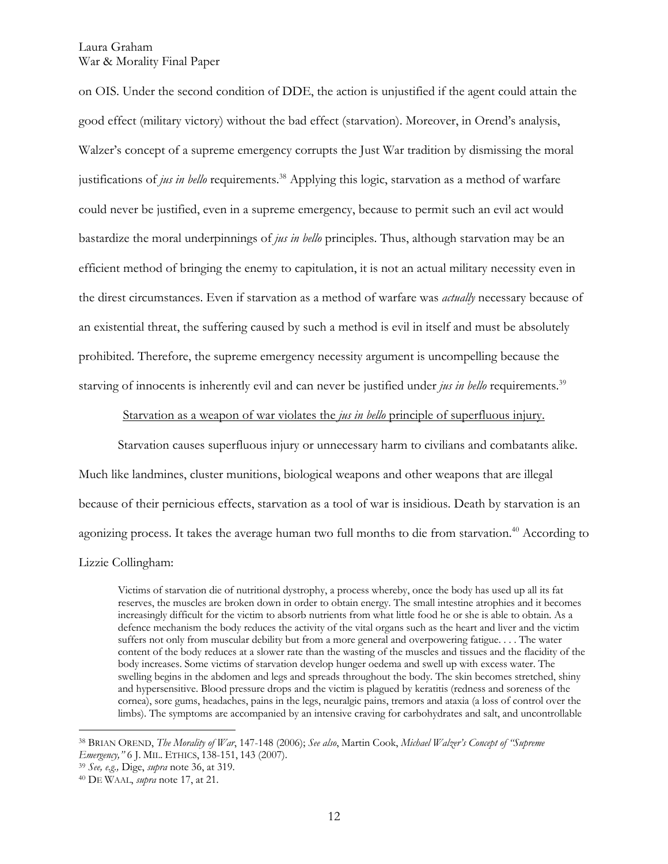on OIS. Under the second condition of DDE, the action is unjustified if the agent could attain the good effect (military victory) without the bad effect (starvation). Moreover, in Orend's analysis, Walzer's concept of a supreme emergency corrupts the Just War tradition by dismissing the moral justifications of *jus in bello* requirements.<sup>38</sup> Applying this logic, starvation as a method of warfare could never be justified, even in a supreme emergency, because to permit such an evil act would bastardize the moral underpinnings of *jus in bello* principles. Thus, although starvation may be an efficient method of bringing the enemy to capitulation, it is not an actual military necessity even in the direst circumstances. Even if starvation as a method of warfare was *actually* necessary because of an existential threat, the suffering caused by such a method is evil in itself and must be absolutely prohibited. Therefore, the supreme emergency necessity argument is uncompelling because the starving of innocents is inherently evil and can never be justified under *jus in bello* requirements. 39

#### Starvation as a weapon of war violates the *jus in bello* principle of superfluous injury.

Starvation causes superfluous injury or unnecessary harm to civilians and combatants alike. Much like landmines, cluster munitions, biological weapons and other weapons that are illegal because of their pernicious effects, starvation as a tool of war is insidious. Death by starvation is an agonizing process. It takes the average human two full months to die from starvation.<sup>40</sup> According to Lizzie Collingham:

Victims of starvation die of nutritional dystrophy, a process whereby, once the body has used up all its fat reserves, the muscles are broken down in order to obtain energy. The small intestine atrophies and it becomes increasingly difficult for the victim to absorb nutrients from what little food he or she is able to obtain. As a defence mechanism the body reduces the activity of the vital organs such as the heart and liver and the victim suffers not only from muscular debility but from a more general and overpowering fatigue. . . . The water content of the body reduces at a slower rate than the wasting of the muscles and tissues and the flacidity of the body increases. Some victims of starvation develop hunger oedema and swell up with excess water. The swelling begins in the abdomen and legs and spreads throughout the body. The skin becomes stretched, shiny and hypersensitive. Blood pressure drops and the victim is plagued by keratitis (redness and soreness of the cornea), sore gums, headaches, pains in the legs, neuralgic pains, tremors and ataxia (a loss of control over the limbs). The symptoms are accompanied by an intensive craving for carbohydrates and salt, and uncontrollable

<sup>38</sup> BRIAN OREND, *The Morality of War*, 147-148 (2006); *See also*, Martin Cook, *Michael Walzer's Concept of "Supreme Emergency,"* 6 J. MIL. ETHICS, 138-151, 143 (2007).

<sup>39</sup> *See, e.g.,* Dige, *supra* note 36, at 319.

<sup>40</sup> DE WAAL, *supra* note 17, at 21.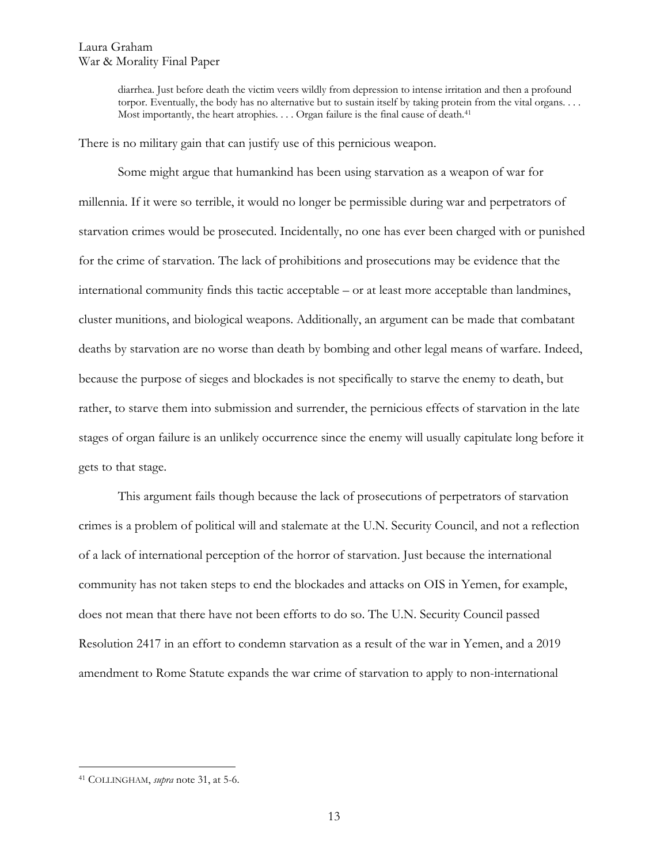diarrhea. Just before death the victim veers wildly from depression to intense irritation and then a profound torpor. Eventually, the body has no alternative but to sustain itself by taking protein from the vital organs. . . . Most importantly, the heart atrophies. . . . Organ failure is the final cause of death.41

There is no military gain that can justify use of this pernicious weapon.

Some might argue that humankind has been using starvation as a weapon of war for millennia. If it were so terrible, it would no longer be permissible during war and perpetrators of starvation crimes would be prosecuted. Incidentally, no one has ever been charged with or punished for the crime of starvation. The lack of prohibitions and prosecutions may be evidence that the international community finds this tactic acceptable – or at least more acceptable than landmines, cluster munitions, and biological weapons. Additionally, an argument can be made that combatant deaths by starvation are no worse than death by bombing and other legal means of warfare. Indeed, because the purpose of sieges and blockades is not specifically to starve the enemy to death, but rather, to starve them into submission and surrender, the pernicious effects of starvation in the late stages of organ failure is an unlikely occurrence since the enemy will usually capitulate long before it gets to that stage.

This argument fails though because the lack of prosecutions of perpetrators of starvation crimes is a problem of political will and stalemate at the U.N. Security Council, and not a reflection of a lack of international perception of the horror of starvation. Just because the international community has not taken steps to end the blockades and attacks on OIS in Yemen, for example, does not mean that there have not been efforts to do so. The U.N. Security Council passed Resolution 2417 in an effort to condemn starvation as a result of the war in Yemen, and a 2019 amendment to Rome Statute expands the war crime of starvation to apply to non-international

<sup>41</sup> COLLINGHAM, *supra* note 31, at 5-6.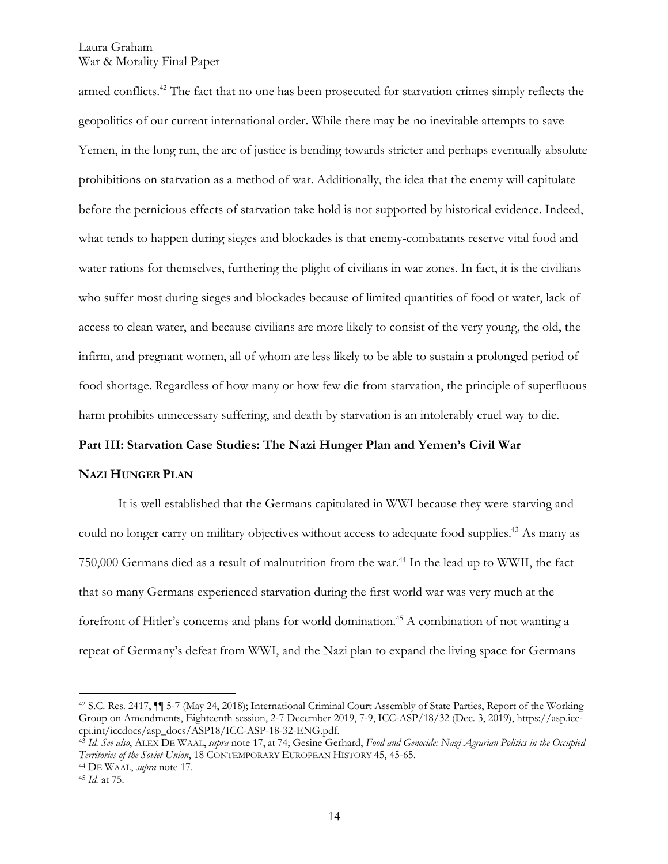armed conflicts.<sup>42</sup> The fact that no one has been prosecuted for starvation crimes simply reflects the geopolitics of our current international order. While there may be no inevitable attempts to save Yemen, in the long run, the arc of justice is bending towards stricter and perhaps eventually absolute prohibitions on starvation as a method of war. Additionally, the idea that the enemy will capitulate before the pernicious effects of starvation take hold is not supported by historical evidence. Indeed, what tends to happen during sieges and blockades is that enemy-combatants reserve vital food and water rations for themselves, furthering the plight of civilians in war zones. In fact, it is the civilians who suffer most during sieges and blockades because of limited quantities of food or water, lack of access to clean water, and because civilians are more likely to consist of the very young, the old, the infirm, and pregnant women, all of whom are less likely to be able to sustain a prolonged period of food shortage. Regardless of how many or how few die from starvation, the principle of superfluous harm prohibits unnecessary suffering, and death by starvation is an intolerably cruel way to die.

## **Part III: Starvation Case Studies: The Nazi Hunger Plan and Yemen's Civil War**

#### **NAZI HUNGER PLAN**

It is well established that the Germans capitulated in WWI because they were starving and could no longer carry on military objectives without access to adequate food supplies.<sup>43</sup> As many as 750,000 Germans died as a result of malnutrition from the war.<sup>44</sup> In the lead up to WWII, the fact that so many Germans experienced starvation during the first world war was very much at the forefront of Hitler's concerns and plans for world domination.<sup>45</sup> A combination of not wanting a repeat of Germany's defeat from WWI, and the Nazi plan to expand the living space for Germans

<sup>42</sup> S.C. Res. 2417, ¶¶ 5-7 (May 24, 2018); International Criminal Court Assembly of State Parties, Report of the Working Group on Amendments, Eighteenth session, 2-7 December 2019, 7-9, ICC-ASP/18/32 (Dec. 3, 2019), https://asp.icccpi.int/iccdocs/asp\_docs/ASP18/ICC-ASP-18-32-ENG.pdf.

<sup>43</sup> *Id. See also*, ALEX DE WAAL, *supra* note 17, at 74; Gesine Gerhard, *Food and Genocide: Nazi Agrarian Politics in the Occupied Territories of the Soviet Union*, 18 CONTEMPORARY EUROPEAN HISTORY 45, 45-65.

<sup>44</sup> DE WAAL, *supra* note 17. 45 *Id.* at 75.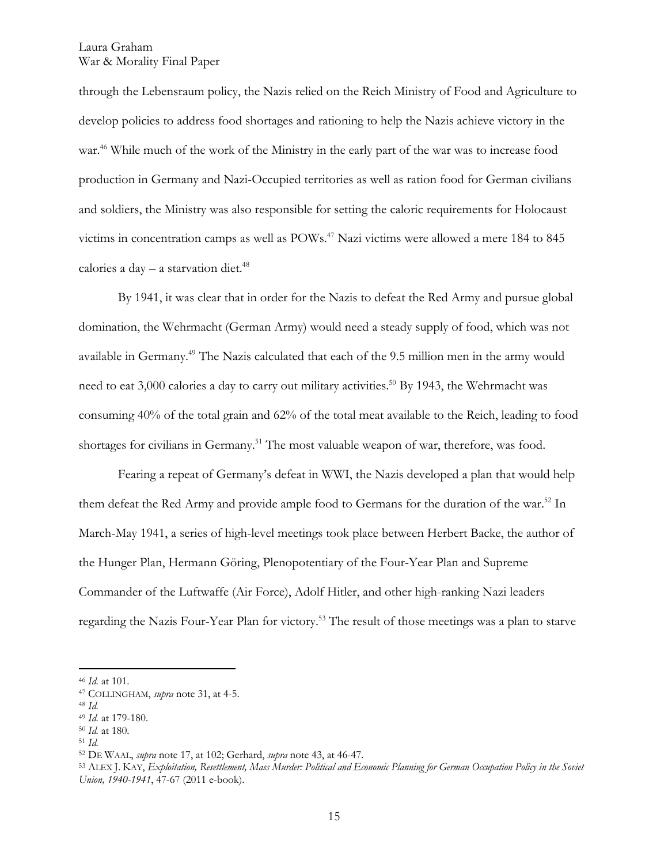through the Lebensraum policy, the Nazis relied on the Reich Ministry of Food and Agriculture to develop policies to address food shortages and rationing to help the Nazis achieve victory in the war.<sup>46</sup> While much of the work of the Ministry in the early part of the war was to increase food production in Germany and Nazi-Occupied territories as well as ration food for German civilians and soldiers, the Ministry was also responsible for setting the caloric requirements for Holocaust victims in concentration camps as well as POWs.47 Nazi victims were allowed a mere 184 to 845 calories a day – a starvation diet. $48$ 

By 1941, it was clear that in order for the Nazis to defeat the Red Army and pursue global domination, the Wehrmacht (German Army) would need a steady supply of food, which was not available in Germany.49 The Nazis calculated that each of the 9.5 million men in the army would need to eat 3,000 calories a day to carry out military activities.<sup>50</sup> By 1943, the Wehrmacht was consuming 40% of the total grain and 62% of the total meat available to the Reich, leading to food shortages for civilians in Germany.<sup>51</sup> The most valuable weapon of war, therefore, was food.

Fearing a repeat of Germany's defeat in WWI, the Nazis developed a plan that would help them defeat the Red Army and provide ample food to Germans for the duration of the war.<sup>52</sup> In March-May 1941, a series of high-level meetings took place between Herbert Backe, the author of the Hunger Plan, Hermann Göring, Plenopotentiary of the Four-Year Plan and Supreme Commander of the Luftwaffe (Air Force), Adolf Hitler, and other high-ranking Nazi leaders regarding the Nazis Four-Year Plan for victory.53 The result of those meetings was a plan to starve

<sup>46</sup> *Id.* at 101. 47 COLLINGHAM, *supra* note 31, at 4-5.

<sup>48</sup> *Id.*

<sup>49</sup> *Id.* at 179-180.

<sup>50</sup> *Id.* at 180.

<sup>51</sup> *Id.*

<sup>52</sup> DE WAAL, *supra* note 17, at 102; Gerhard, *supra* note 43, at 46-47.

<sup>53</sup> ALEX J. KAY, *Exploitation, Resettlement, Mass Murder: Political and Economic Planning for German Occupation Policy in the Soviet Union, 1940-1941*, 47-67 (2011 e-book).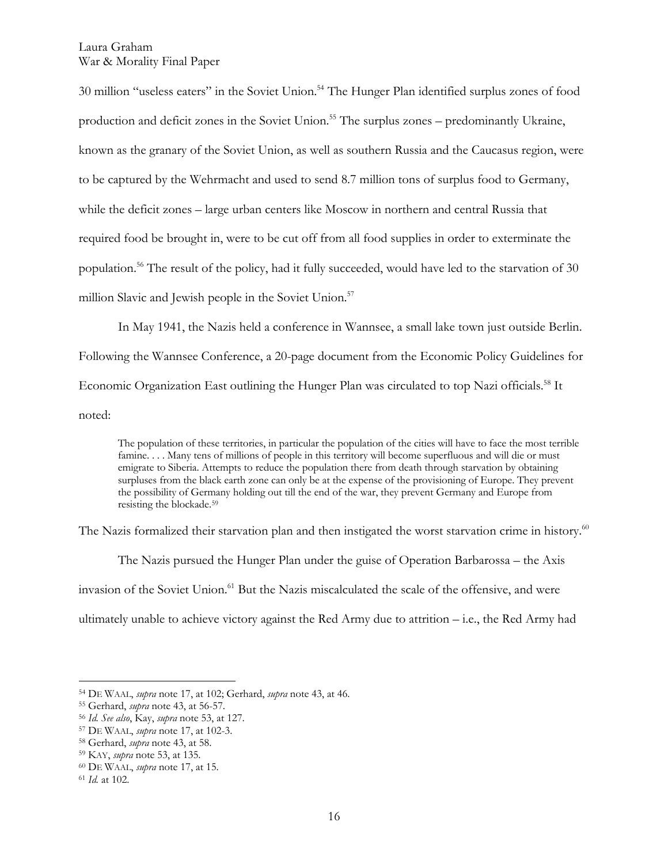30 million "useless eaters" in the Soviet Union.54 The Hunger Plan identified surplus zones of food production and deficit zones in the Soviet Union.55 The surplus zones – predominantly Ukraine, known as the granary of the Soviet Union, as well as southern Russia and the Caucasus region, were to be captured by the Wehrmacht and used to send 8.7 million tons of surplus food to Germany, while the deficit zones – large urban centers like Moscow in northern and central Russia that required food be brought in, were to be cut off from all food supplies in order to exterminate the population.56 The result of the policy, had it fully succeeded, would have led to the starvation of 30 million Slavic and Jewish people in the Soviet Union.<sup>57</sup>

In May 1941, the Nazis held a conference in Wannsee, a small lake town just outside Berlin. Following the Wannsee Conference, a 20-page document from the Economic Policy Guidelines for Economic Organization East outlining the Hunger Plan was circulated to top Nazi officials.<sup>58</sup> It noted:

The population of these territories, in particular the population of the cities will have to face the most terrible famine. . . . Many tens of millions of people in this territory will become superfluous and will die or must emigrate to Siberia. Attempts to reduce the population there from death through starvation by obtaining surpluses from the black earth zone can only be at the expense of the provisioning of Europe. They prevent the possibility of Germany holding out till the end of the war, they prevent Germany and Europe from resisting the blockade.59

The Nazis formalized their starvation plan and then instigated the worst starvation crime in history.<sup>60</sup>

The Nazis pursued the Hunger Plan under the guise of Operation Barbarossa – the Axis invasion of the Soviet Union.<sup>61</sup> But the Nazis miscalculated the scale of the offensive, and were ultimately unable to achieve victory against the Red Army due to attrition – i.e., the Red Army had

<sup>54</sup> DE WAAL, *supra* note 17, at 102; Gerhard, *supra* note 43, at 46.

<sup>55</sup> Gerhard, *supra* note 43, at 56-57.

<sup>56</sup> *Id. See also*, Kay, *supra* note 53, at 127.

<sup>57</sup> DE WAAL, *supra* note 17, at 102-3.

<sup>58</sup> Gerhard, *supra* note 43, at 58. 59 KAY, *supra* note 53, at 135.

<sup>60</sup> DE WAAL, *supra* note 17, at 15.

<sup>61</sup> *Id.* at 102.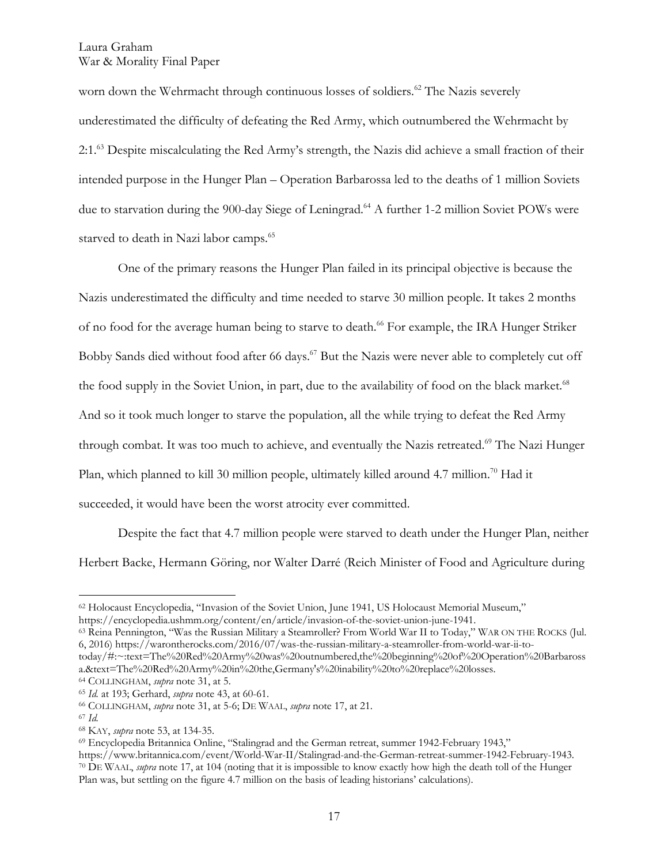worn down the Wehrmacht through continuous losses of soldiers.<sup>62</sup> The Nazis severely underestimated the difficulty of defeating the Red Army, which outnumbered the Wehrmacht by 2:1.63 Despite miscalculating the Red Army's strength, the Nazis did achieve a small fraction of their intended purpose in the Hunger Plan – Operation Barbarossa led to the deaths of 1 million Soviets due to starvation during the 900-day Siege of Leningrad.<sup>64</sup> A further 1-2 million Soviet POWs were starved to death in Nazi labor camps.<sup>65</sup>

One of the primary reasons the Hunger Plan failed in its principal objective is because the Nazis underestimated the difficulty and time needed to starve 30 million people. It takes 2 months of no food for the average human being to starve to death.<sup>66</sup> For example, the IRA Hunger Striker Bobby Sands died without food after 66 days.<sup>67</sup> But the Nazis were never able to completely cut off the food supply in the Soviet Union, in part, due to the availability of food on the black market.<sup>68</sup> And so it took much longer to starve the population, all the while trying to defeat the Red Army through combat. It was too much to achieve, and eventually the Nazis retreated.<sup>69</sup> The Nazi Hunger Plan, which planned to kill 30 million people, ultimately killed around 4.7 million.<sup>70</sup> Had it succeeded, it would have been the worst atrocity ever committed.

Despite the fact that 4.7 million people were starved to death under the Hunger Plan, neither Herbert Backe, Hermann Göring, nor Walter Darré (Reich Minister of Food and Agriculture during

<sup>62</sup> Holocaust Encyclopedia, "Invasion of the Soviet Union, June 1941, US Holocaust Memorial Museum," https://encyclopedia.ushmm.org/content/en/article/invasion-of-the-soviet-union-june-1941.

<sup>63</sup> Reina Pennington, "Was the Russian Military a Steamroller? From World War II to Today," WAR ON THE ROCKS (Jul. 6, 2016) https://warontherocks.com/2016/07/was-the-russian-military-a-steamroller-from-world-war-ii-to-

today/#:~:text=The%20Red%20Army%20was%20outnumbered,the%20beginning%20of%20Operation%20Barbaross a.&text=The%20Red%20Army%20in%20the,Germany's%20inability%20to%20replace%20losses.

<sup>64</sup> COLLINGHAM, *supra* note 31, at 5.

<sup>65</sup> *Id.* at 193; Gerhard, *supra* note 43, at 60-61.

<sup>66</sup> COLLINGHAM, *supra* note 31, at 5-6; DE WAAL, *supra* note 17, at 21.

<sup>67</sup> *Id.*

<sup>68</sup> KAY, *supra* note 53, at 134-35.

<sup>69</sup> Encyclopedia Britannica Online, "Stalingrad and the German retreat, summer 1942-February 1943,"

https://www.britannica.com/event/World-War-II/Stalingrad-and-the-German-retreat-summer-1942-February-1943. <sup>70</sup> DE WAAL, *supra* note 17, at 104 (noting that it is impossible to know exactly how high the death toll of the Hunger Plan was, but settling on the figure 4.7 million on the basis of leading historians' calculations).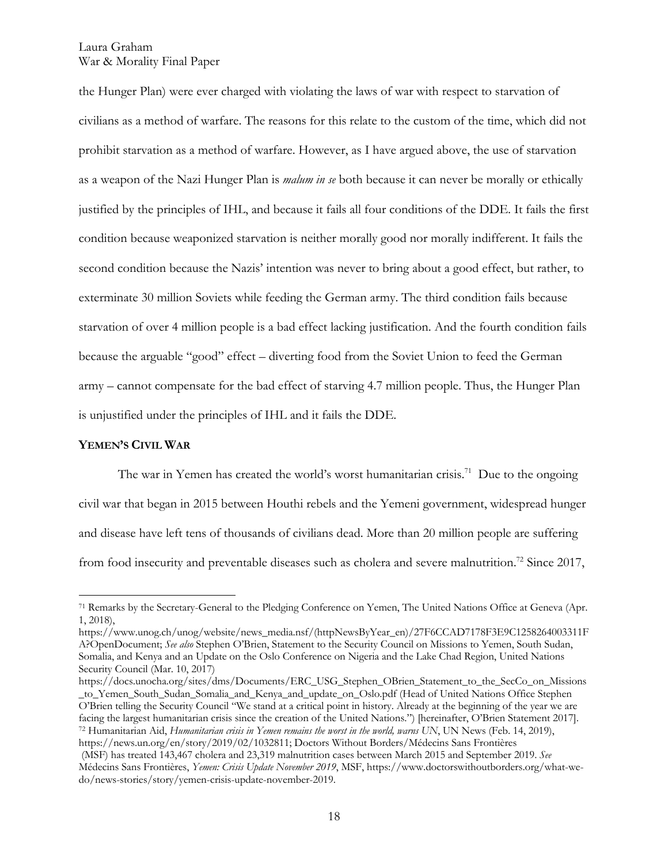the Hunger Plan) were ever charged with violating the laws of war with respect to starvation of civilians as a method of warfare. The reasons for this relate to the custom of the time, which did not prohibit starvation as a method of warfare. However, as I have argued above, the use of starvation as a weapon of the Nazi Hunger Plan is *malum in se* both because it can never be morally or ethically justified by the principles of IHL, and because it fails all four conditions of the DDE. It fails the first condition because weaponized starvation is neither morally good nor morally indifferent. It fails the second condition because the Nazis' intention was never to bring about a good effect, but rather, to exterminate 30 million Soviets while feeding the German army. The third condition fails because starvation of over 4 million people is a bad effect lacking justification. And the fourth condition fails because the arguable "good" effect – diverting food from the Soviet Union to feed the German army – cannot compensate for the bad effect of starving 4.7 million people. Thus, the Hunger Plan is unjustified under the principles of IHL and it fails the DDE.

## **YEMEN'S CIVIL WAR**

The war in Yemen has created the world's worst humanitarian crisis.<sup>71</sup> Due to the ongoing civil war that began in 2015 between Houthi rebels and the Yemeni government, widespread hunger and disease have left tens of thousands of civilians dead. More than 20 million people are suffering from food insecurity and preventable diseases such as cholera and severe malnutrition.<sup>72</sup> Since 2017,

<sup>71</sup> Remarks by the Secretary-General to the Pledging Conference on Yemen, The United Nations Office at Geneva (Apr. 1, 2018),

https://www.unog.ch/unog/website/news\_media.nsf/(httpNewsByYear\_en)/27F6CCAD7178F3E9C1258264003311F A?OpenDocument; *See also* Stephen O'Brien, Statement to the Security Council on Missions to Yemen, South Sudan, Somalia, and Kenya and an Update on the Oslo Conference on Nigeria and the Lake Chad Region, United Nations Security Council (Mar. 10, 2017)

https://docs.unocha.org/sites/dms/Documents/ERC\_USG\_Stephen\_OBrien\_Statement\_to\_the\_SecCo\_on\_Missions \_to\_Yemen\_South\_Sudan\_Somalia\_and\_Kenya\_and\_update\_on\_Oslo.pdf (Head of United Nations Office Stephen O'Brien telling the Security Council "We stand at a critical point in history. Already at the beginning of the year we are facing the largest humanitarian crisis since the creation of the United Nations.") [hereinafter, O'Brien Statement 2017]. 72 Humanitarian Aid, Humanitarian crisis in Yemen remains the worst in the world, warns UN, UN News https://news.un.org/en/story/2019/02/1032811; Doctors Without Borders/Médecins Sans Frontières

<sup>(</sup>MSF) has treated 143,467 cholera and 23,319 malnutrition cases between March 2015 and September 2019. *See* Médecins Sans Frontières, *Yemen: Crisis Update November 2019*, MSF, https://www.doctorswithoutborders.org/what-wedo/news-stories/story/yemen-crisis-update-november-2019.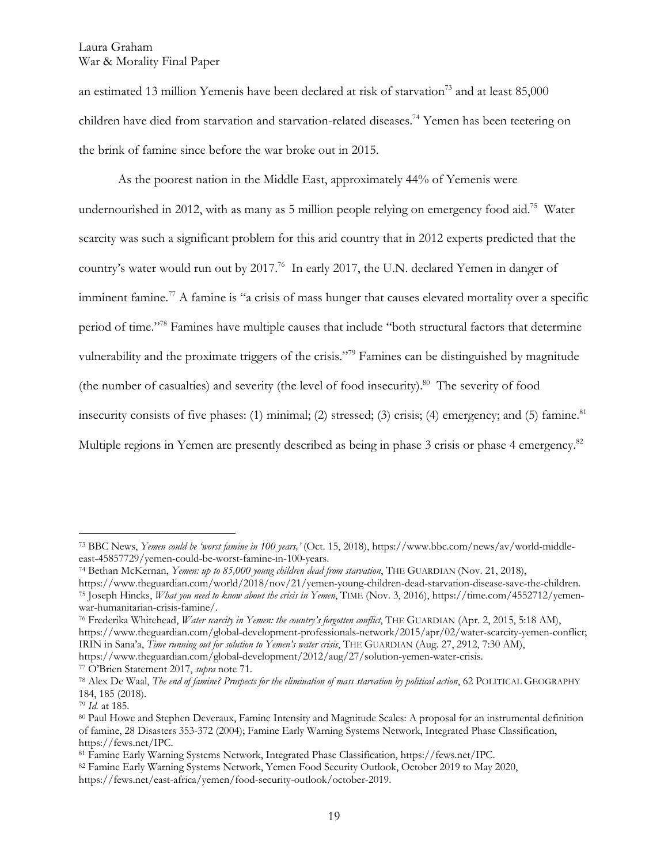an estimated 13 million Yemenis have been declared at risk of starvation<sup>73</sup> and at least 85,000 children have died from starvation and starvation-related diseases.<sup>74</sup> Yemen has been teetering on the brink of famine since before the war broke out in 2015.

As the poorest nation in the Middle East, approximately 44% of Yemenis were undernourished in 2012, with as many as 5 million people relying on emergency food aid.<sup>75</sup> Water scarcity was such a significant problem for this arid country that in 2012 experts predicted that the country's water would run out by 2017.<sup>76</sup> In early 2017, the U.N. declared Yemen in danger of imminent famine.<sup>77</sup> A famine is "a crisis of mass hunger that causes elevated mortality over a specific period of time."78 Famines have multiple causes that include "both structural factors that determine vulnerability and the proximate triggers of the crisis."79 Famines can be distinguished by magnitude (the number of casualties) and severity (the level of food insecurity). $80$  The severity of food insecurity consists of five phases: (1) minimal; (2) stressed; (3) crisis; (4) emergency; and (5) famine.<sup>81</sup> Multiple regions in Yemen are presently described as being in phase 3 crisis or phase 4 emergency.<sup>82</sup>

<sup>76</sup> Frederika Whitehead, *Water scarcity in Yemen: the country's forgotten conflict*, THE GUARDIAN (Apr. 2, 2015, 5:18 AM), https://www.theguardian.com/global-development-professionals-network/2015/apr/02/water-scarcity-yemen-conflict; IRIN in Sana'a, *Time running out for solution to Yemen's water crisis*, THE GUARDIAN (Aug. 27, 2912, 7:30 AM), https://www.theguardian.com/global-development/2012/aug/27/solution-yemen-water-crisis.

<sup>73</sup> BBC News, *Yemen could be 'worst famine in 100 years,'* (Oct. 15, 2018), https://www.bbc.com/news/av/world-middleeast-45857729/yemen-could-be-worst-famine-in-100-years.

<sup>74</sup> Bethan McKernan, *Yemen: up to 85,000 young children dead from starvation*, THE GUARDIAN (Nov. 21, 2018),

https://www.theguardian.com/world/2018/nov/21/yemen-young-children-dead-starvation-disease-save-the-children. <sup>75</sup> Joseph Hincks, *What you need to know about the crisis in Yemen*, TIME (Nov. 3, 2016), https://time.com/4552712/yemenwar-humanitarian-crisis-famine/.

<sup>&</sup>lt;sup>77</sup> O'Brien Statement 2017, *supra* note 71.<br><sup>78</sup> Alex De Waal, *The end of famine? Prospects for the elimination of mass starvation by political action*, 62 POLITICAL GEOGRAPHY 184, 185 (2018).

<sup>79</sup> *Id.* at 185.

<sup>80</sup> Paul Howe and Stephen Deveraux, Famine Intensity and Magnitude Scales: A proposal for an instrumental definition of famine, 28 Disasters 353-372 (2004); Famine Early Warning Systems Network, Integrated Phase Classification, https://fews.net/IPC.

<sup>81</sup> Famine Early Warning Systems Network, Integrated Phase Classification, https://fews.net/IPC. 82 Famine Early Warning Systems Network, Yemen Food Security Outlook, October 2019 to May 2020,

https://fews.net/east-africa/yemen/food-security-outlook/october-2019.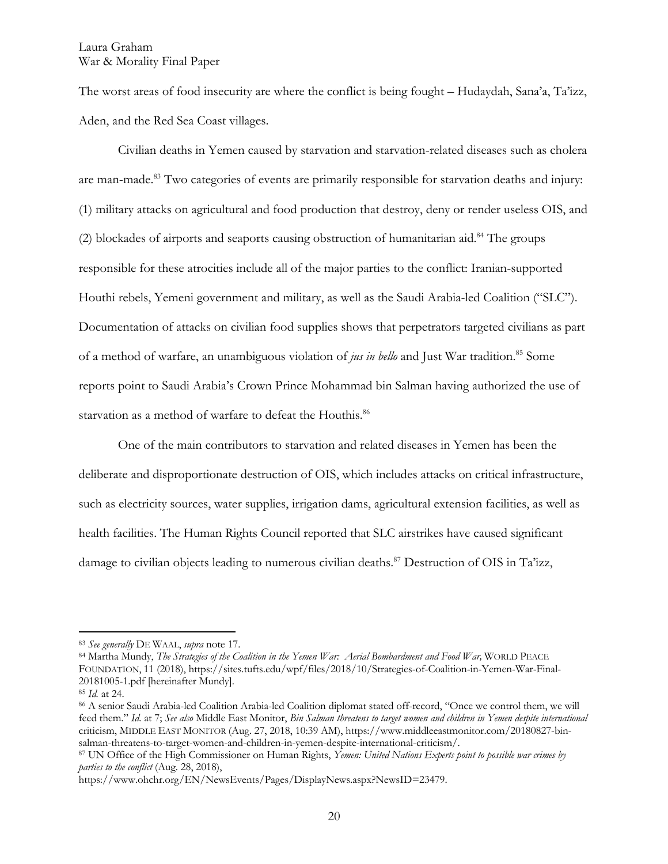The worst areas of food insecurity are where the conflict is being fought – Hudaydah, Sana'a, Ta'izz, Aden, and the Red Sea Coast villages.

Civilian deaths in Yemen caused by starvation and starvation-related diseases such as cholera are man-made.<sup>83</sup> Two categories of events are primarily responsible for starvation deaths and injury: (1) military attacks on agricultural and food production that destroy, deny or render useless OIS, and  $(2)$  blockades of airports and seaports causing obstruction of humanitarian aid.<sup>84</sup> The groups responsible for these atrocities include all of the major parties to the conflict: Iranian-supported Houthi rebels, Yemeni government and military, as well as the Saudi Arabia-led Coalition ("SLC"). Documentation of attacks on civilian food supplies shows that perpetrators targeted civilians as part of a method of warfare, an unambiguous violation of *jus in bello* and Just War tradition. <sup>85</sup> Some reports point to Saudi Arabia's Crown Prince Mohammad bin Salman having authorized the use of starvation as a method of warfare to defeat the Houthis.<sup>86</sup>

One of the main contributors to starvation and related diseases in Yemen has been the deliberate and disproportionate destruction of OIS, which includes attacks on critical infrastructure, such as electricity sources, water supplies, irrigation dams, agricultural extension facilities, as well as health facilities. The Human Rights Council reported that SLC airstrikes have caused significant damage to civilian objects leading to numerous civilian deaths.<sup>87</sup> Destruction of OIS in Ta'izz,

<sup>83</sup> See generally DE WAAL, supra note 17.<br><sup>84</sup> Martha Mundy, *The Strategies of the Coalition in the Yemen War: Aerial Bombardment and Food War, WORLD PEACE* FOUNDATION, 11 (2018), https://sites.tufts.edu/wpf/files/2018/10/Strategies-of-Coalition-in-Yemen-War-Final-20181005-1.pdf [hereinafter Mundy].

<sup>86</sup> A senior Saudi Arabia-led Coalition Arabia-led Coalition diplomat stated off-record, "Once we control them, we will feed them." *Id.* at 7; *See also* Middle East Monitor, *Bin Salman threatens to target women and children in Yemen despite international*  criticism, MIDDLE EAST MONITOR (Aug. 27, 2018, 10:39 AM), https://www.middleeastmonitor.com/20180827-binsalman-threatens-to-target-women-and-children-in-yemen-despite-international-criticism/.

<sup>87</sup> UN Office of the High Commissioner on Human Rights, *Yemen: United Nations Experts point to possible war crimes by parties to the conflict* (Aug. 28, 2018),

<sup>85</sup> *Id.* at 24.

https://www.ohchr.org/EN/NewsEvents/Pages/DisplayNews.aspx?NewsID=23479.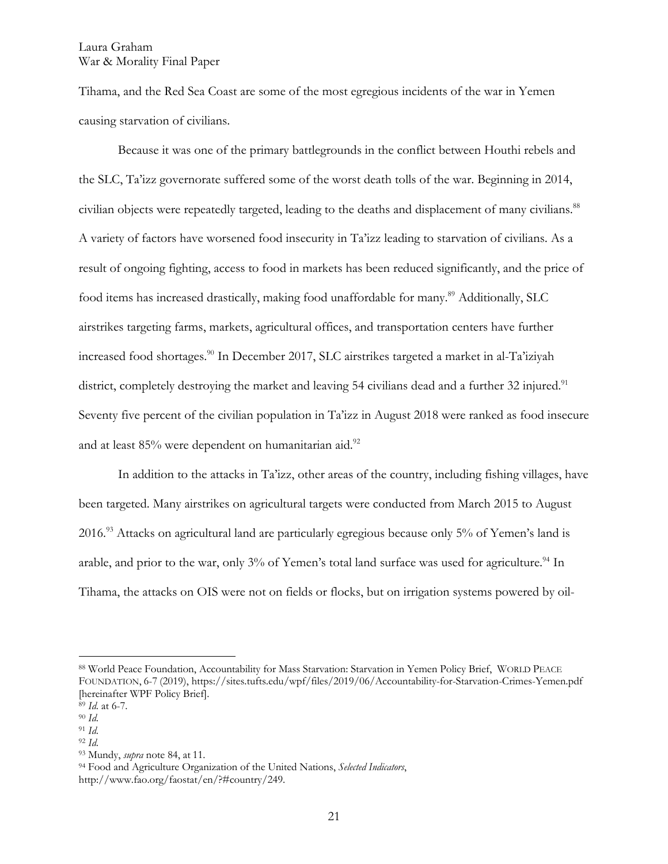Tihama, and the Red Sea Coast are some of the most egregious incidents of the war in Yemen causing starvation of civilians.

Because it was one of the primary battlegrounds in the conflict between Houthi rebels and the SLC, Ta'izz governorate suffered some of the worst death tolls of the war. Beginning in 2014, civilian objects were repeatedly targeted, leading to the deaths and displacement of many civilians.<sup>88</sup> A variety of factors have worsened food insecurity in Ta'izz leading to starvation of civilians. As a result of ongoing fighting, access to food in markets has been reduced significantly, and the price of food items has increased drastically, making food unaffordable for many.<sup>89</sup> Additionally, SLC airstrikes targeting farms, markets, agricultural offices, and transportation centers have further increased food shortages.<sup>90</sup> In December 2017, SLC airstrikes targeted a market in al-Ta'iziyah district, completely destroying the market and leaving 54 civilians dead and a further  $32$  injured.<sup>91</sup> Seventy five percent of the civilian population in Ta'izz in August 2018 were ranked as food insecure and at least 85% were dependent on humanitarian aid.<sup>92</sup>

In addition to the attacks in Ta'izz, other areas of the country, including fishing villages, have been targeted. Many airstrikes on agricultural targets were conducted from March 2015 to August 2016.93 Attacks on agricultural land are particularly egregious because only 5% of Yemen's land is arable, and prior to the war, only 3% of Yemen's total land surface was used for agriculture.<sup>94</sup> In Tihama, the attacks on OIS were not on fields or flocks, but on irrigation systems powered by oil-

<sup>88</sup> World Peace Foundation, Accountability for Mass Starvation: Starvation in Yemen Policy Brief, WORLD PEACE FOUNDATION, 6-7 (2019), https://sites.tufts.edu/wpf/files/2019/06/Accountability-for-Starvation-Crimes-Yemen.pdf [hereinafter WPF Policy Brief].

<sup>89</sup> *Id*. at 6-7.

<sup>90</sup> *Id*. 91 *Id*. 92 *Id*. 93 Mundy, *supra* note 84, at 11. 94 Food and Agriculture Organization of the United Nations, *Selected Indicators*, http://www.fao.org/faostat/en/?#country/249.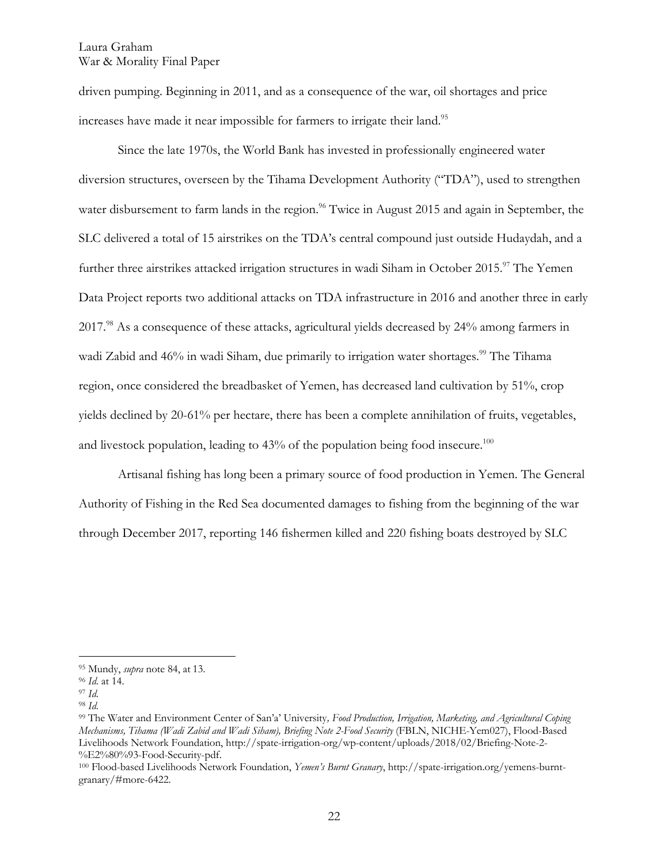driven pumping. Beginning in 2011, and as a consequence of the war, oil shortages and price increases have made it near impossible for farmers to irrigate their land.<sup>95</sup>

Since the late 1970s, the World Bank has invested in professionally engineered water diversion structures, overseen by the Tihama Development Authority ("TDA"), used to strengthen water disbursement to farm lands in the region.<sup>96</sup> Twice in August 2015 and again in September, the SLC delivered a total of 15 airstrikes on the TDA's central compound just outside Hudaydah, and a further three airstrikes attacked irrigation structures in wadi Siham in October 2015.<sup>97</sup> The Yemen Data Project reports two additional attacks on TDA infrastructure in 2016 and another three in early 2017.<sup>98</sup> As a consequence of these attacks, agricultural yields decreased by 24% among farmers in wadi Zabid and 46% in wadi Siham, due primarily to irrigation water shortages.<sup>99</sup> The Tihama region, once considered the breadbasket of Yemen, has decreased land cultivation by 51%, crop yields declined by 20-61% per hectare, there has been a complete annihilation of fruits, vegetables, and livestock population, leading to 43% of the population being food insecure.<sup>100</sup>

Artisanal fishing has long been a primary source of food production in Yemen. The General Authority of Fishing in the Red Sea documented damages to fishing from the beginning of the war through December 2017, reporting 146 fishermen killed and 220 fishing boats destroyed by SLC

<sup>95</sup> Mundy, *supra* note 84, at 13.<br><sup>96</sup> *Id*. at 14.<br><sup>99</sup> *Id.* 98 *Id.* 99 The Water and Environment Center of San'a' University, Food Production, Irrigation, Marketing, and Agricultural Coping <sup>99</sup> The Water and Environme *Mechanisms, Tihama (Wadi Zabid and Wadi Siham), Briefing Note 2-Food Security* (FBLN, NICHE-Yem027), Flood-Based Livelihoods Network Foundation, http://spate-irrigation-org/wp-content/uploads/2018/02/Briefing-Note-2- %E2%80%93-Food-Security-pdf.<br><sup>100</sup> Flood-based Livelihoods Network Foundation, *Yemen's Burnt Granary*, http://spate-irrigation.org/yemens-burnt-

granary/#more-6422.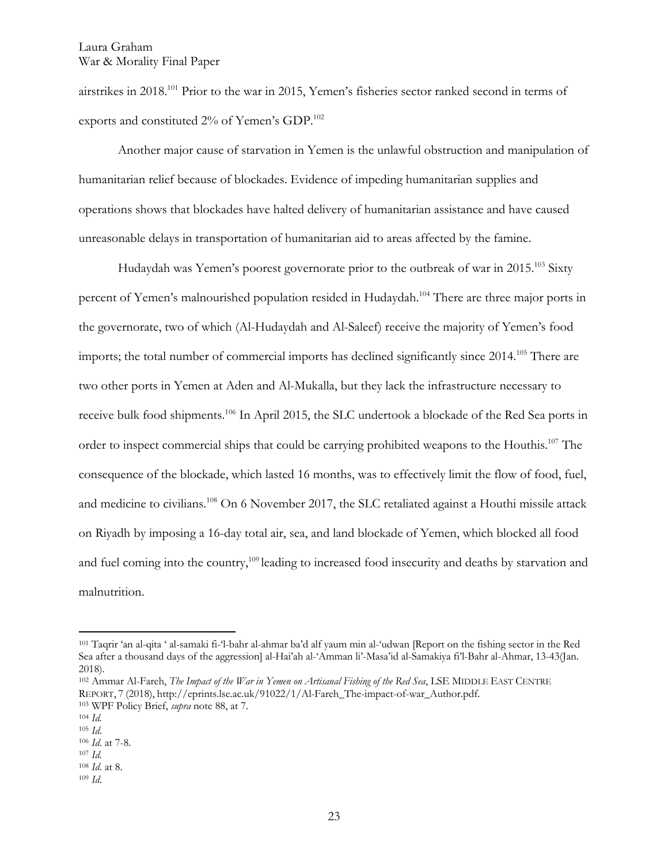airstrikes in 2018.101 Prior to the war in 2015, Yemen's fisheries sector ranked second in terms of exports and constituted 2% of Yemen's GDP.<sup>102</sup>

Another major cause of starvation in Yemen is the unlawful obstruction and manipulation of humanitarian relief because of blockades. Evidence of impeding humanitarian supplies and operations shows that blockades have halted delivery of humanitarian assistance and have caused unreasonable delays in transportation of humanitarian aid to areas affected by the famine.

Hudaydah was Yemen's poorest governorate prior to the outbreak of war in 2015.<sup>103</sup> Sixty percent of Yemen's malnourished population resided in Hudaydah.<sup>104</sup> There are three major ports in the governorate, two of which (Al-Hudaydah and Al-Saleef) receive the majority of Yemen's food imports; the total number of commercial imports has declined significantly since 2014.<sup>105</sup> There are two other ports in Yemen at Aden and Al-Mukalla, but they lack the infrastructure necessary to receive bulk food shipments.106 In April 2015, the SLC undertook a blockade of the Red Sea ports in order to inspect commercial ships that could be carrying prohibited weapons to the Houthis.107 The consequence of the blockade, which lasted 16 months, was to effectively limit the flow of food, fuel, and medicine to civilians.<sup>108</sup> On 6 November 2017, the SLC retaliated against a Houthi missile attack on Riyadh by imposing a 16-day total air, sea, and land blockade of Yemen, which blocked all food and fuel coming into the country,<sup>109</sup> leading to increased food insecurity and deaths by starvation and malnutrition.

<sup>101</sup> Taqrir 'an al-qita ' al-samaki fi-'l-bahr al-ahmar ba'd alf yaum min al-'udwan [Report on the fishing sector in the Red Sea after a thousand days of the aggression] al-Hai'ah al-'Amman li'-Masa'id al-Samakiya fi'l-Bahr al-Ahmar, 13-43(Jan. 2018).

<sup>102</sup> Ammar Al-Fareh, *The Impact of the War in Yemen on Artisanal Fishing of the Red Sea*, LSE MIDDLE EAST CENTRE REPORT, <sup>7</sup> (2018), http://eprints.lse.ac.uk/91022/1/Al-Fareh\_The-impact-of-war\_Author.pdf. 103 WPF Policy Brief, *supra* note 88, at 7.

<sup>104</sup> *Id.*

<sup>105</sup> *Id*. 106 *Id*. at 7-8.

<sup>107</sup> *Id.*

<sup>108</sup> *Id*. at 8. <sup>109</sup> *Id*.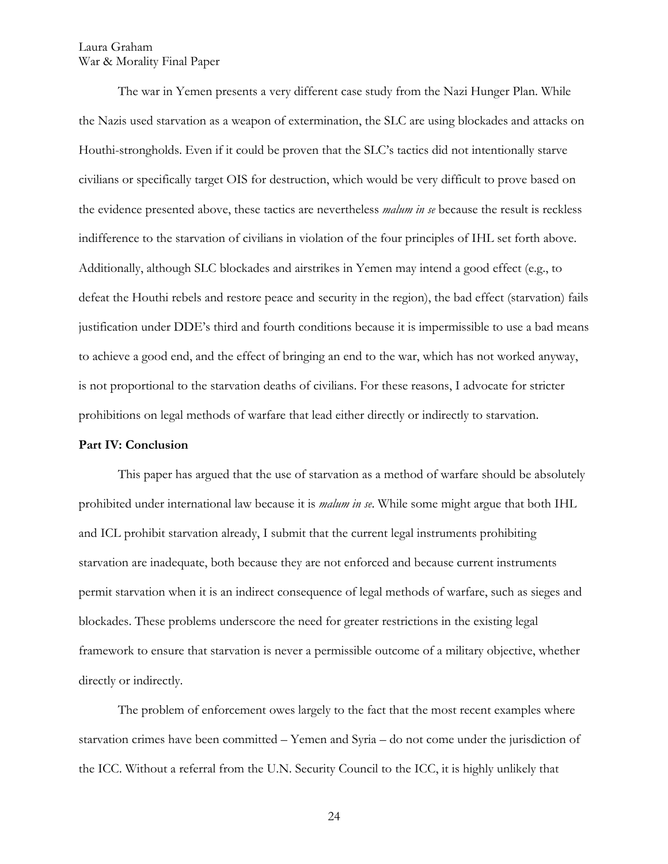The war in Yemen presents a very different case study from the Nazi Hunger Plan. While the Nazis used starvation as a weapon of extermination, the SLC are using blockades and attacks on Houthi-strongholds. Even if it could be proven that the SLC's tactics did not intentionally starve civilians or specifically target OIS for destruction, which would be very difficult to prove based on the evidence presented above, these tactics are nevertheless *malum in se* because the result is reckless indifference to the starvation of civilians in violation of the four principles of IHL set forth above. Additionally, although SLC blockades and airstrikes in Yemen may intend a good effect (e.g., to defeat the Houthi rebels and restore peace and security in the region), the bad effect (starvation) fails justification under DDE's third and fourth conditions because it is impermissible to use a bad means to achieve a good end, and the effect of bringing an end to the war, which has not worked anyway, is not proportional to the starvation deaths of civilians. For these reasons, I advocate for stricter prohibitions on legal methods of warfare that lead either directly or indirectly to starvation.

#### **Part IV: Conclusion**

This paper has argued that the use of starvation as a method of warfare should be absolutely prohibited under international law because it is *malum in se*. While some might argue that both IHL and ICL prohibit starvation already, I submit that the current legal instruments prohibiting starvation are inadequate, both because they are not enforced and because current instruments permit starvation when it is an indirect consequence of legal methods of warfare, such as sieges and blockades. These problems underscore the need for greater restrictions in the existing legal framework to ensure that starvation is never a permissible outcome of a military objective, whether directly or indirectly.

The problem of enforcement owes largely to the fact that the most recent examples where starvation crimes have been committed – Yemen and Syria – do not come under the jurisdiction of the ICC. Without a referral from the U.N. Security Council to the ICC, it is highly unlikely that

24